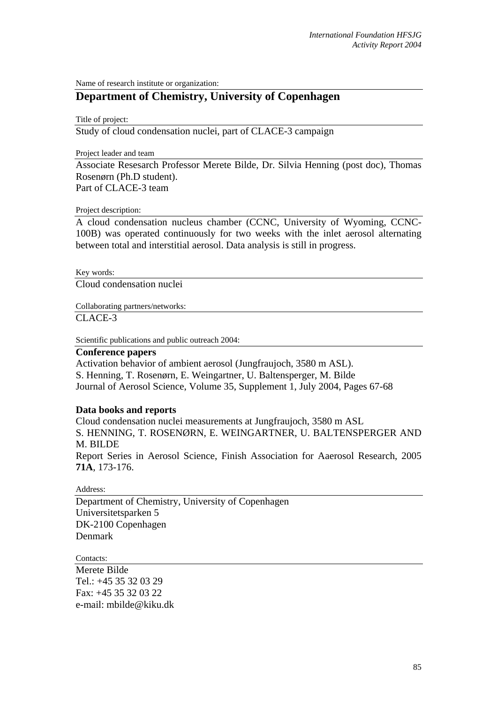Name of research institute or organization:

## **Department of Chemistry, University of Copenhagen**

Title of project:

Study of cloud condensation nuclei, part of CLACE-3 campaign

Project leader and team

Associate Resesarch Professor Merete Bilde, Dr. Silvia Henning (post doc), Thomas Rosenørn (Ph.D student).

Part of CLACE-3 team

## Project description:

A cloud condensation nucleus chamber (CCNC, University of Wyoming, CCNC-100B) was operated continuously for two weeks with the inlet aerosol alternating between total and interstitial aerosol. Data analysis is still in progress.

Key words:

Cloud condensation nuclei

Collaborating partners/networks:

CLACE-3

Scientific publications and public outreach 2004:

## **Conference papers**

Activation behavior of ambient aerosol (Jungfraujoch, 3580 m ASL). S. Henning, T. Rosenørn, E. Weingartner, U. Baltensperger, M. Bilde Journal of Aerosol Science, Volume 35, Supplement 1, July 2004, Pages 67-68

## **Data books and reports**

Cloud condensation nuclei measurements at Jungfraujoch, 3580 m ASL S. HENNING, T. ROSENØRN, E. WEINGARTNER, U. BALTENSPERGER AND M. BILDE Report Series in Aerosol Science, Finish Association for Aaerosol Research, 2005 **71A**, 173-176.

Address:

Department of Chemistry, University of Copenhagen Universitetsparken 5 DK-2100 Copenhagen Denmark

Contacts:

Merete Bilde Tel.: +45 35 32 03 29 Fax: +45 35 32 03 22 e-mail: mbilde@kiku.dk